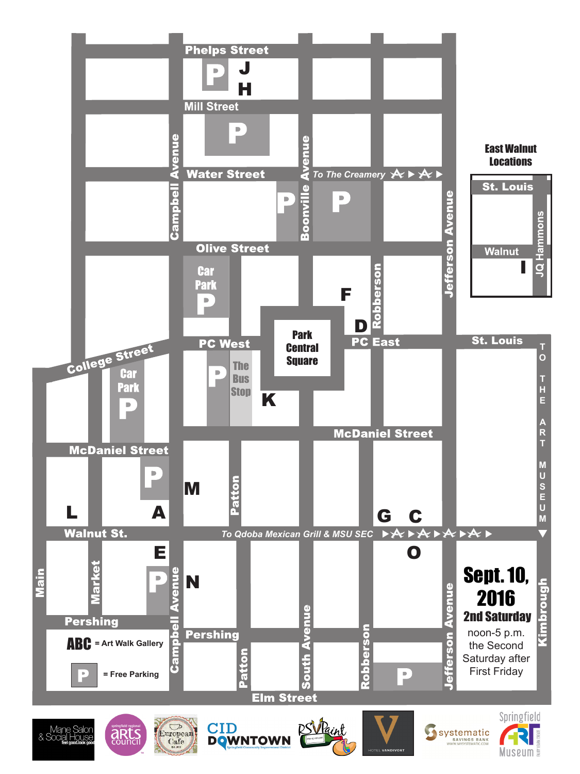